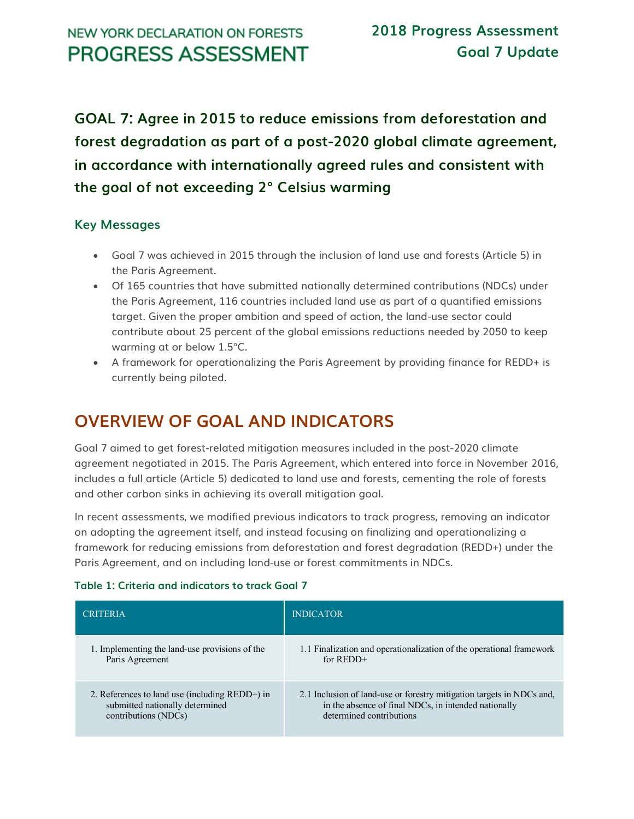## **NEW YORK DECLARATION ON FORESTS PROGRESS ASSESSMENT**

**GOAL 7: Agree in 2015 to reduce emissions from deforestation and forest degradation as part of a post-2020 global climate agreement, in accordance with internationally agreed rules and consistent with the goal of not exceeding 2° Celsius warming**

#### **Key Messages**

- Goal 7 was achieved in 2015 through the inclusion of land use and forests (Article 5) in the Paris Agreement.
- Of 165 countries that have submitted nationally determined contributions (NDCs) under the Paris Agreement, 116 countries included land use as part of a quantified emissions target. Given the proper ambition and speed of action, the land-use sector could contribute about 25 percent of the global emissions reductions needed by 2050 to keep warming at or below 1.5°C.
- A framework for operationalizing the Paris Agreement by providing finance for REDD+ is currently being piloted.

# **OVERVIEW OF GOAL AND INDICATORS**

Goal 7 aimed to get forest-related mitigation measures included in the post-2020 climate agreement negotiated in 2015. The Paris Agreement, which entered into force in November 2016, includes a full article (Article 5) dedicated to land use and forests, cementing the role of forests and other carbon sinks in achieving its overall mitigation goal.

In recent assessments, we modified previous indicators to track progress, removing an indicator on adopting the agreement itself, and instead focusing on finalizing and operationalizing a framework for reducing emissions from deforestation and forest degradation (REDD+) under the Paris Agreement, and on including land-use or forest commitments in NDCs.

|  |  |  | Table 1: Criteria and indicators to track Goal 7 |  |  |  |  |
|--|--|--|--------------------------------------------------|--|--|--|--|
|--|--|--|--------------------------------------------------|--|--|--|--|

| <b>CRITERIA</b>                                | <b>INDICATOR</b>                                                      |  |  |  |
|------------------------------------------------|-----------------------------------------------------------------------|--|--|--|
| 1. Implementing the land-use provisions of the | 1.1 Finalization and operationalization of the operational framework  |  |  |  |
| Paris Agreement                                | for $REDD+$                                                           |  |  |  |
| 2. References to land use (including REDD+) in | 2.1 Inclusion of land-use or forestry mitigation targets in NDCs and, |  |  |  |
| submitted nationally determined                | in the absence of final NDCs, in intended nationally                  |  |  |  |
| contributions (NDCs)                           | determined contributions                                              |  |  |  |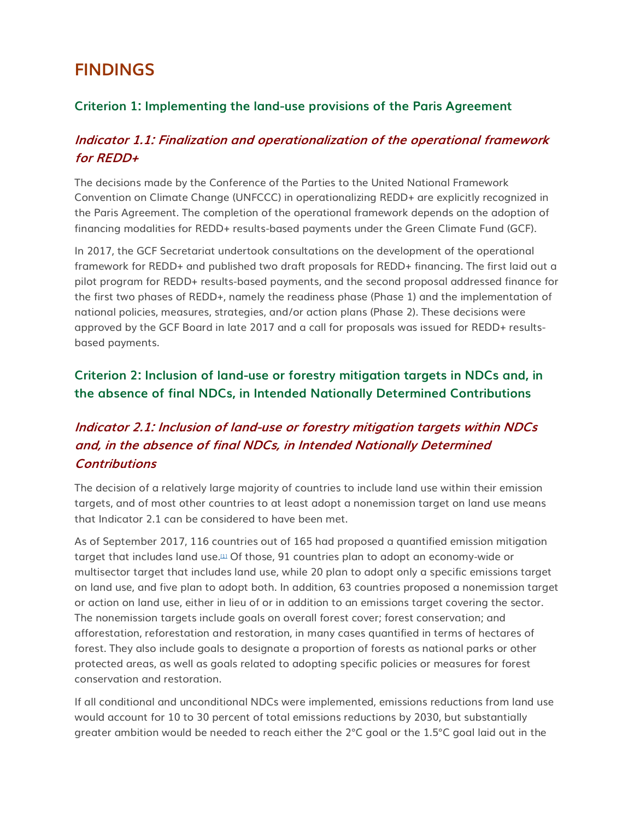# **FINDINGS**

### **Criterion 1: Implementing the land-use provisions of the Paris Agreement**

### **Indicator 1.1: Finalization and operationalization of the operational framework for REDD+**

The decisions made by the Conference of the Parties to the United National Framework Convention on Climate Change (UNFCCC) in operationalizing REDD+ are explicitly recognized in the Paris Agreement. The completion of the operational framework depends on the adoption of financing modalities for REDD+ results-based payments under the Green Climate Fund (GCF).

In 2017, the GCF Secretariat undertook consultations on the development of the operational framework for REDD+ and published two draft proposals for REDD+ financing. The first laid out a pilot program for REDD+ results-based payments, and the second proposal addressed finance for the first two phases of REDD+, namely the readiness phase (Phase 1) and the implementation of national policies, measures, strategies, and/or action plans (Phase 2). These decisions were approved by the GCF Board in late 2017 and a call for proposals was issued for REDD+ resultsbased payments.

### **Criterion 2: Inclusion of land-use or forestry mitigation targets in NDCs and, in the absence of final NDCs, in Intended Nationally Determined Contributions**

## **Indicator 2.1: Inclusion of land-use or forestry mitigation targets within NDCs and, in the absence of final NDCs, in Intended Nationally Determined Contributions**

The decision of a relatively large majority of countries to include land use within their emission targets, and of most other countries to at least adopt a nonemission target on land use means that Indicator 2.1 can be considered to have been met.

As of September 2017, 116 countries out of 165 had proposed a quantified emission mitigation target that includes land use.<sup>[\[1\]](http://forestdeclaration.org/goal/goal-7/#_edn1)</sup> Of those, 91 countries plan to adopt an economy-wide or multisector target that includes land use, while 20 plan to adopt only a specific emissions target on land use, and five plan to adopt both. In addition, 63 countries proposed a nonemission target or action on land use, either in lieu of or in addition to an emissions target covering the sector. The nonemission targets include goals on overall forest cover; forest conservation; and afforestation, reforestation and restoration, in many cases quantified in terms of hectares of forest. They also include goals to designate a proportion of forests as national parks or other protected areas, as well as goals related to adopting specific policies or measures for forest conservation and restoration.

If all conditional and unconditional NDCs were implemented, emissions reductions from land use would account for 10 to 30 percent of total emissions reductions by 2030, but substantially greater ambition would be needed to reach either the 2°C goal or the 1.5°C goal laid out in the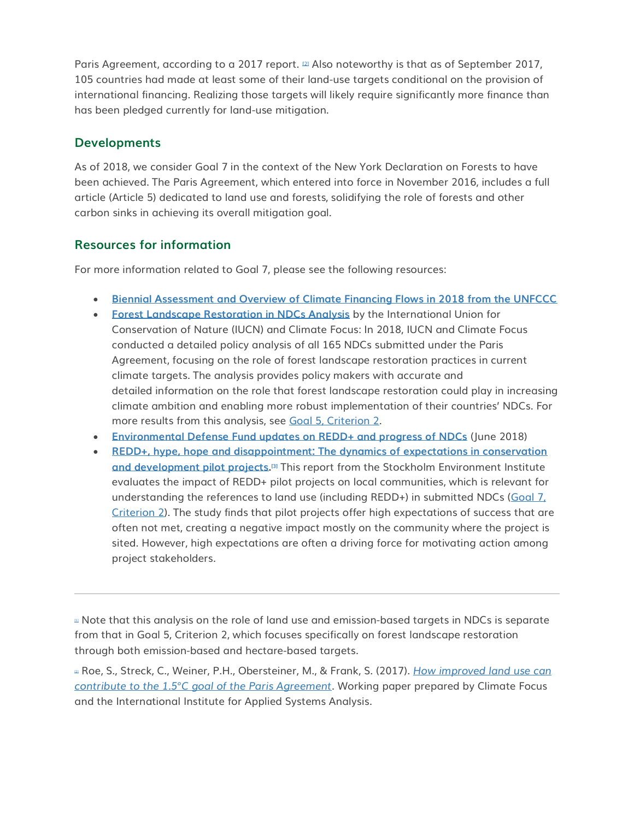Paris Agreement, according to a 2017 report.  $\Omega$  Also noteworthy is that as of September 2017, 105 countries had made at least some of their land-use targets conditional on the provision of international financing. Realizing those targets will likely require significantly more finance than has been pledged currently for land-use mitigation.

#### **Developments**

As of 2018, we consider Goal 7 in the context of the New York Declaration on Forests to have been achieved. The Paris Agreement, which entered into force in November 2016, includes a full article (Article 5) dedicated to land use and forests, solidifying the role of forests and other carbon sinks in achieving its overall mitigation goal.

#### **Resources for information**

For more information related to Goal 7, please see the following resources:

- **[Biennial Assessment and Overview of Climate Financing Flows in 2018 from the UNFCCC](https://unfccc.int/topics/climate-finance/resources/biennial-assessment-of-climate-finance)**
- **[Forest Landscape Restoration in NDCs Analysis](https://infoflr.org/what-flr/increasing-ambition-and-action-ndcs-through-flr)** by the International Union for Conservation of Nature (IUCN) and Climate Focus: In 2018, IUCN and Climate Focus conducted a detailed policy analysis of all 165 NDCs submitted under the Paris Agreement, focusing on the role of forest landscape restoration practices in current climate targets. The analysis provides policy makers with accurate and detailed information on the role that forest landscape restoration could play in increasing climate ambition and enabling more robust implementation of their countries' NDCs. For more results from this analysis, see [Goal 5, Criterion 2.](http://forestdeclaration.org/goal/goal-5/)
- **[Environmental Defense Fund updates on REDD+ and progress of NDCs](http://blogs.edf.org/climatetalks/category/redd/)** (June 2018)
- **[REDD+, hype, hope and disappointment: The dynamics of expectations in conservation](https://www.sei.org/publications/redd-hype-hope-disappointment-dynamics-expectations-conservation-development-pilot-projects/)  [and development pilot projects.](https://www.sei.org/publications/redd-hype-hope-disappointment-dynamics-expectations-conservation-development-pilot-projects/) [\[3\]](http://forestdeclaration.org/goal/goal-7/#_edn3)** This report from the Stockholm Environment Institute evaluates the impact of REDD+ pilot projects on local communities, which is relevant for understanding the references to land use (including REDD+) in submitted NDCs (Goal Z. [Criterion 2\)](http://forestdeclaration.org/goal/goal-7/). The study finds that pilot projects offer high expectations of success that are often not met, creating a negative impact mostly on the community where the project is sited. However, high expectations are often a driving force for motivating action among project stakeholders.

[\[1\]](http://forestdeclaration.org/goal/goal-7/#_ednref1) Note that this analysis on the role of land use and emission-based targets in NDCs is separate from that in Goal 5, Criterion 2, which focuses specifically on forest landscape restoration through both emission-based and hectare-based targets.

[\[2\]](http://forestdeclaration.org/goal/goal-7/#_ednref2) Roe, S., Streck, C., Weiner, P.H., Obersteiner, M., & Frank, S. (2017). *[How improved land use can](https://climatefocus.com/sites/default/files/CIFF%20Report.pdf)  [contribute to the 1.5°C goal of the Paris Agreement](https://climatefocus.com/sites/default/files/CIFF%20Report.pdf)*. Working paper prepared by Climate Focus and the International Institute for Applied Systems Analysis.